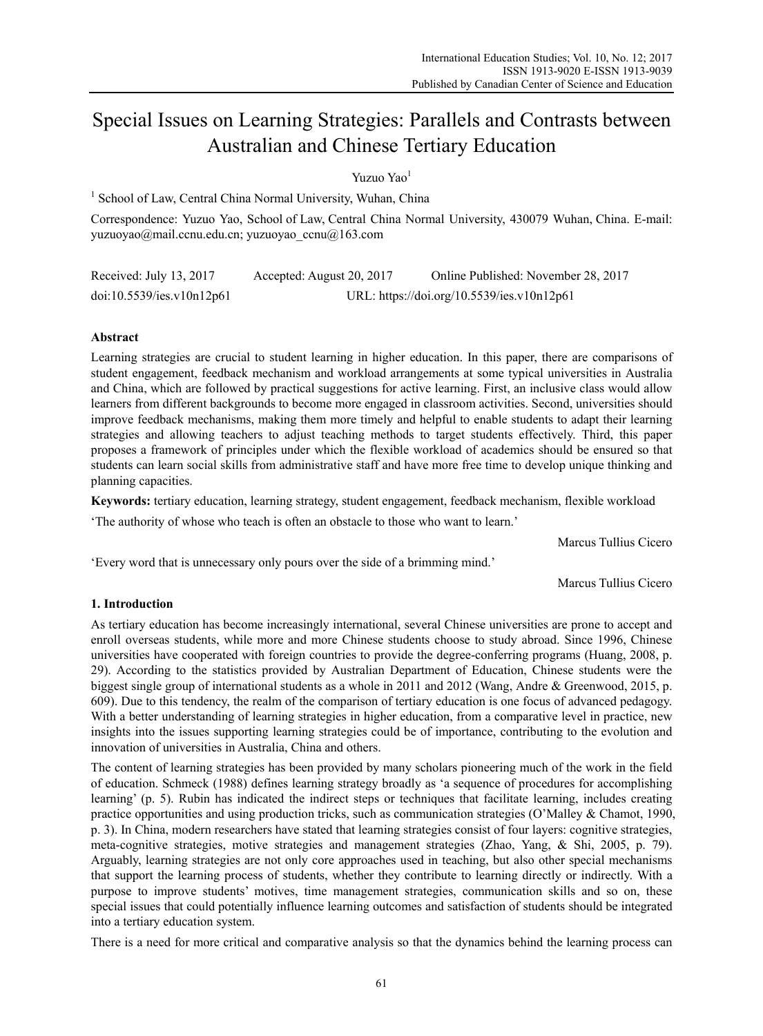# Special Issues on Learning Strategies: Parallels and Contrasts between Australian and Chinese Tertiary Education

Yuzuo Yao<sup>1</sup>

<sup>1</sup> School of Law, Central China Normal University, Wuhan, China

Correspondence: Yuzuo Yao, School of Law, Central China Normal University, 430079 Wuhan, China. E-mail: yuzuoyao@mail.ccnu.edu.cn; yuzuoyao\_ccnu@163.com

| Received: July 13, 2017   | Accepted: August 20, 2017 | Online Published: November 28, 2017        |  |  |
|---------------------------|---------------------------|--------------------------------------------|--|--|
| doi:10.5539/ies.v10n12p61 |                           | URL: https://doi.org/10.5539/ies.v10n12p61 |  |  |

# **Abstract**

Learning strategies are crucial to student learning in higher education. In this paper, there are comparisons of student engagement, feedback mechanism and workload arrangements at some typical universities in Australia and China, which are followed by practical suggestions for active learning. First, an inclusive class would allow learners from different backgrounds to become more engaged in classroom activities. Second, universities should improve feedback mechanisms, making them more timely and helpful to enable students to adapt their learning strategies and allowing teachers to adjust teaching methods to target students effectively. Third, this paper proposes a framework of principles under which the flexible workload of academics should be ensured so that students can learn social skills from administrative staff and have more free time to develop unique thinking and planning capacities.

**Keywords:** tertiary education, learning strategy, student engagement, feedback mechanism, flexible workload

'The authority of whose who teach is often an obstacle to those who want to learn.'

Marcus Tullius Cicero

'Every word that is unnecessary only pours over the side of a brimming mind.'

Marcus Tullius Cicero

# **1. Introduction**

As tertiary education has become increasingly international, several Chinese universities are prone to accept and enroll overseas students, while more and more Chinese students choose to study abroad. Since 1996, Chinese universities have cooperated with foreign countries to provide the degree-conferring programs (Huang, 2008, p. 29). According to the statistics provided by Australian Department of Education, Chinese students were the biggest single group of international students as a whole in 2011 and 2012 (Wang, Andre & Greenwood, 2015, p. 609). Due to this tendency, the realm of the comparison of tertiary education is one focus of advanced pedagogy. With a better understanding of learning strategies in higher education, from a comparative level in practice, new insights into the issues supporting learning strategies could be of importance, contributing to the evolution and innovation of universities in Australia, China and others.

The content of learning strategies has been provided by many scholars pioneering much of the work in the field of education. Schmeck (1988) defines learning strategy broadly as 'a sequence of procedures for accomplishing learning' (p. 5). Rubin has indicated the indirect steps or techniques that facilitate learning, includes creating practice opportunities and using production tricks, such as communication strategies (O'Malley & Chamot, 1990, p. 3). In China, modern researchers have stated that learning strategies consist of four layers: cognitive strategies, meta-cognitive strategies, motive strategies and management strategies (Zhao, Yang, & Shi, 2005, p. 79). Arguably, learning strategies are not only core approaches used in teaching, but also other special mechanisms that support the learning process of students, whether they contribute to learning directly or indirectly. With a purpose to improve students' motives, time management strategies, communication skills and so on, these special issues that could potentially influence learning outcomes and satisfaction of students should be integrated into a tertiary education system.

There is a need for more critical and comparative analysis so that the dynamics behind the learning process can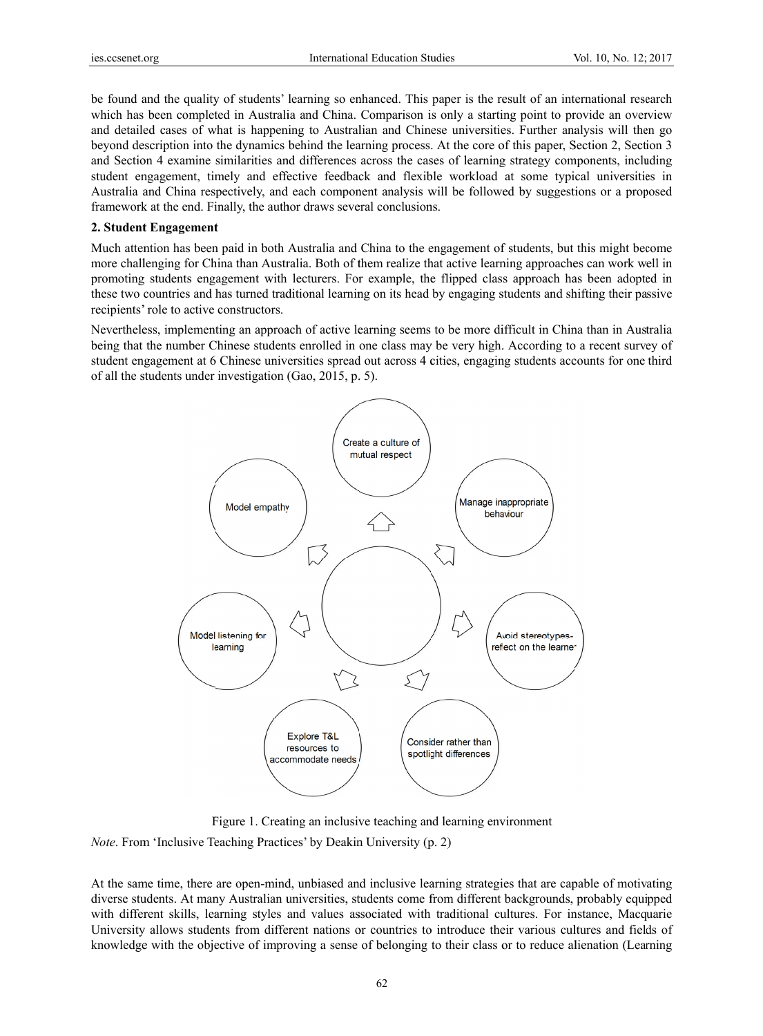be found and the quality of students' learning so enhanced. This paper is the result of an international research which has been completed in Australia and China. Comparison is only a starting point to provide an overview and detailed cases of what is happening to Australian and Chinese universities. Further analysis will then go beyond description into the dynamics behind the learning process. At the core of this paper, Section 2, Section 3 and Section 4 examine similarities and differences across the cases of learning strategy components, including student engagement, timely and effective feedback and flexible workload at some typical universities in Australia and China respectively, and each component analysis will be followed by suggestions or a proposed framework at the end. Finally, the author draws several conclusions.

## 2. Student Engagement

Much attention has been paid in both Australia and China to the engagement of students, but this might become more challenging for China than Australia. Both of them realize that active learning approaches can work well in promoting students engagement with lecturers. For example, the flipped class approach has been adopted in these two countries and has turned traditional learning on its head by engaging students and shifting their passive recipients' role to active constructors.

Nevertheless, implementing an approach of active learning seems to be more difficult in China than in Australia being that the number Chinese students enrolled in one class may be very high. According to a recent survey of student engagement at 6 Chinese universities spread out across 4 cities, engaging students accounts for one third of all the students under investigation (Gao, 2015, p. 5).



Figure 1. Creating an inclusive teaching and learning environment

*Note*. From 'Inclusive Teaching Practices' by Deakin University (p. 2)

At the same time, there are open-mind, unbiased and inclusive learning strategies that are capable of motivating diverse students. At many Australian universities, students come from different backgrounds, probably equipped with different skills, learning styles and values associated with traditional cultures. For instance, Macquarie University allows students from different nations or countries to introduce their various cultures and fields of knowledge with the objective of improving a sense of belonging to their class or to reduce alienation (Learning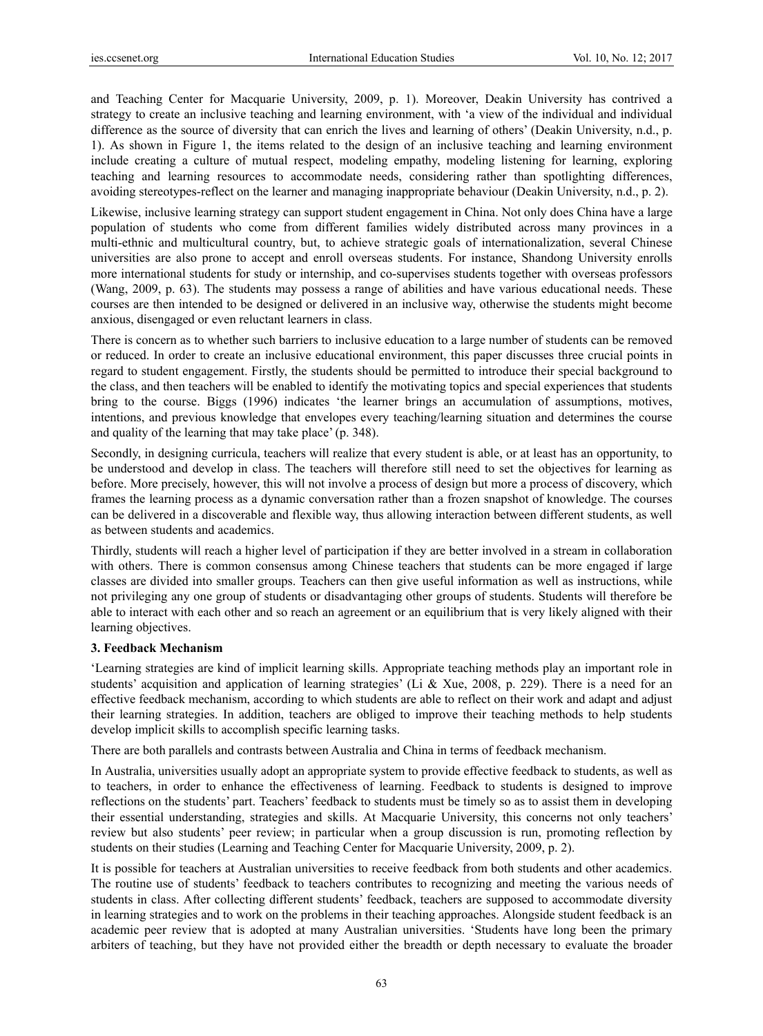and Teaching Center for Macquarie University, 2009, p. 1). Moreover, Deakin University has contrived a strategy to create an inclusive teaching and learning environment, with 'a view of the individual and individual difference as the source of diversity that can enrich the lives and learning of others' (Deakin University, n.d., p. 1). As shown in Figure 1, the items related to the design of an inclusive teaching and learning environment include creating a culture of mutual respect, modeling empathy, modeling listening for learning, exploring teaching and learning resources to accommodate needs, considering rather than spotlighting differences, avoiding stereotypes-reflect on the learner and managing inappropriate behaviour (Deakin University, n.d., p. 2).

Likewise, inclusive learning strategy can support student engagement in China. Not only does China have a large population of students who come from different families widely distributed across many provinces in a multi-ethnic and multicultural country, but, to achieve strategic goals of internationalization, several Chinese universities are also prone to accept and enroll overseas students. For instance, Shandong University enrolls more international students for study or internship, and co-supervises students together with overseas professors (Wang, 2009, p. 63). The students may possess a range of abilities and have various educational needs. These courses are then intended to be designed or delivered in an inclusive way, otherwise the students might become anxious, disengaged or even reluctant learners in class.

There is concern as to whether such barriers to inclusive education to a large number of students can be removed or reduced. In order to create an inclusive educational environment, this paper discusses three crucial points in regard to student engagement. Firstly, the students should be permitted to introduce their special background to the class, and then teachers will be enabled to identify the motivating topics and special experiences that students bring to the course. Biggs (1996) indicates 'the learner brings an accumulation of assumptions, motives, intentions, and previous knowledge that envelopes every teaching/learning situation and determines the course and quality of the learning that may take place' (p. 348).

Secondly, in designing curricula, teachers will realize that every student is able, or at least has an opportunity, to be understood and develop in class. The teachers will therefore still need to set the objectives for learning as before. More precisely, however, this will not involve a process of design but more a process of discovery, which frames the learning process as a dynamic conversation rather than a frozen snapshot of knowledge. The courses can be delivered in a discoverable and flexible way, thus allowing interaction between different students, as well as between students and academics.

Thirdly, students will reach a higher level of participation if they are better involved in a stream in collaboration with others. There is common consensus among Chinese teachers that students can be more engaged if large classes are divided into smaller groups. Teachers can then give useful information as well as instructions, while not privileging any one group of students or disadvantaging other groups of students. Students will therefore be able to interact with each other and so reach an agreement or an equilibrium that is very likely aligned with their learning objectives.

#### **3. Feedback Mechanism**

'Learning strategies are kind of implicit learning skills. Appropriate teaching methods play an important role in students' acquisition and application of learning strategies' (Li & Xue, 2008, p. 229). There is a need for an effective feedback mechanism, according to which students are able to reflect on their work and adapt and adjust their learning strategies. In addition, teachers are obliged to improve their teaching methods to help students develop implicit skills to accomplish specific learning tasks.

There are both parallels and contrasts between Australia and China in terms of feedback mechanism.

In Australia, universities usually adopt an appropriate system to provide effective feedback to students, as well as to teachers, in order to enhance the effectiveness of learning. Feedback to students is designed to improve reflections on the students' part. Teachers' feedback to students must be timely so as to assist them in developing their essential understanding, strategies and skills. At Macquarie University, this concerns not only teachers' review but also students' peer review; in particular when a group discussion is run, promoting reflection by students on their studies (Learning and Teaching Center for Macquarie University, 2009, p. 2).

It is possible for teachers at Australian universities to receive feedback from both students and other academics. The routine use of students' feedback to teachers contributes to recognizing and meeting the various needs of students in class. After collecting different students' feedback, teachers are supposed to accommodate diversity in learning strategies and to work on the problems in their teaching approaches. Alongside student feedback is an academic peer review that is adopted at many Australian universities. 'Students have long been the primary arbiters of teaching, but they have not provided either the breadth or depth necessary to evaluate the broader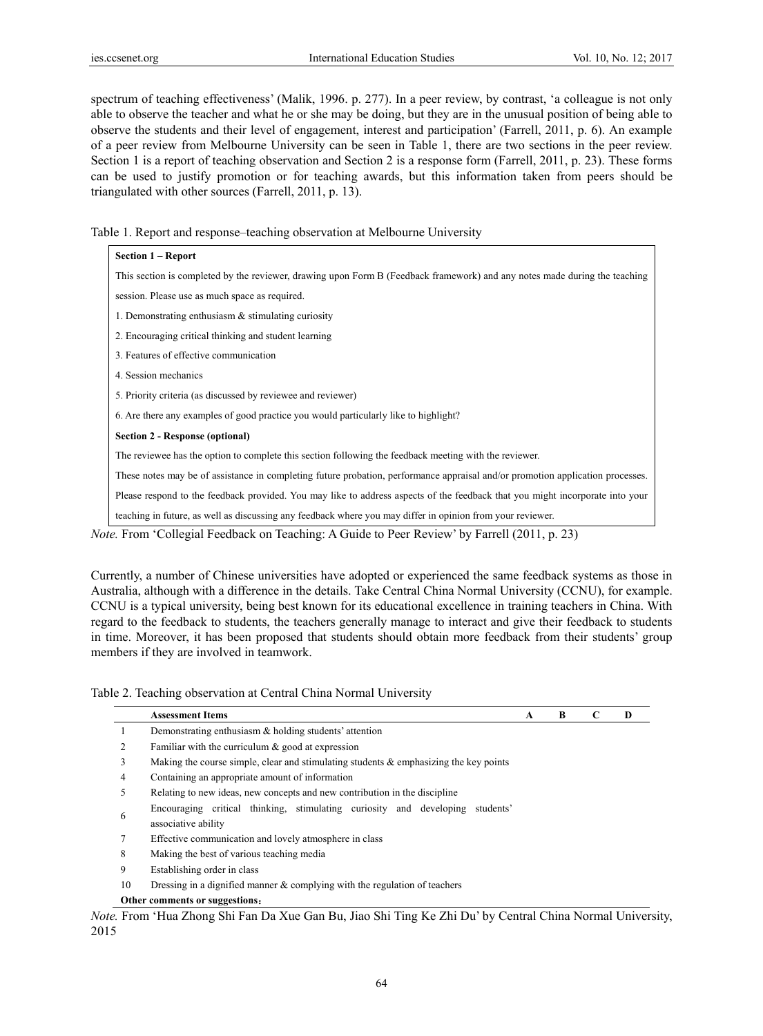spectrum of teaching effectiveness' (Malik, 1996. p. 277). In a peer review, by contrast, 'a colleague is not only able to observe the teacher and what he or she may be doing, but they are in the unusual position of being able to observe the students and their level of engagement, interest and participation' (Farrell, 2011, p. 6). An example of a peer review from Melbourne University can be seen in Table 1, there are two sections in the peer review. Section 1 is a report of teaching observation and Section 2 is a response form (Farrell, 2011, p. 23). These forms can be used to justify promotion or for teaching awards, but this information taken from peers should be triangulated with other sources (Farrell, 2011, p. 13).

Table 1. Report and response–teaching observation at Melbourne University

| Section 1 – Report                                                                                                             |  |  |  |  |
|--------------------------------------------------------------------------------------------------------------------------------|--|--|--|--|
| This section is completed by the reviewer, drawing upon Form B (Feedback framework) and any notes made during the teaching     |  |  |  |  |
| session. Please use as much space as required.                                                                                 |  |  |  |  |
| 1. Demonstrating enthusiasm $\&$ stimulating curiosity                                                                         |  |  |  |  |
| 2. Encouraging critical thinking and student learning                                                                          |  |  |  |  |
| 3. Features of effective communication                                                                                         |  |  |  |  |
| 4. Session mechanics                                                                                                           |  |  |  |  |
| 5. Priority criteria (as discussed by reviewee and reviewer)                                                                   |  |  |  |  |
| 6. Are there any examples of good practice you would particularly like to highlight?                                           |  |  |  |  |
| Section 2 - Response (optional)                                                                                                |  |  |  |  |
| The reviewee has the option to complete this section following the feedback meeting with the reviewer.                         |  |  |  |  |
| These notes may be of assistance in completing future probation, performance appraisal and/or promotion application processes. |  |  |  |  |
| Please respond to the feedback provided. You may like to address aspects of the feedback that you might incorporate into your  |  |  |  |  |
| teaching in future, as well as discussing any feedback where you may differ in opinion from your reviewer.                     |  |  |  |  |

*Note.* From 'Collegial Feedback on Teaching: A Guide to Peer Review' by Farrell (2011, p. 23)

Currently, a number of Chinese universities have adopted or experienced the same feedback systems as those in Australia, although with a difference in the details. Take Central China Normal University (CCNU), for example. CCNU is a typical university, being best known for its educational excellence in training teachers in China. With regard to the feedback to students, the teachers generally manage to interact and give their feedback to students in time. Moreover, it has been proposed that students should obtain more feedback from their students' group members if they are involved in teamwork.

Table 2. Teaching observation at Central China Normal University

|                                | <b>Assessment Items</b>                                                                  | A | B | C | D |
|--------------------------------|------------------------------------------------------------------------------------------|---|---|---|---|
|                                | Demonstrating enthusiasm $\&$ holding students' attention                                |   |   |   |   |
|                                | Familiar with the curriculum $\&$ good at expression                                     |   |   |   |   |
| 3                              | Making the course simple, clear and stimulating students $\&$ emphasizing the key points |   |   |   |   |
| 4                              | Containing an appropriate amount of information                                          |   |   |   |   |
| 5                              | Relating to new ideas, new concepts and new contribution in the discipline               |   |   |   |   |
|                                | Encouraging critical thinking, stimulating curiosity and developing<br>students'         |   |   |   |   |
| 6                              | associative ability                                                                      |   |   |   |   |
|                                | Effective communication and lovely atmosphere in class                                   |   |   |   |   |
| 8                              | Making the best of various teaching media                                                |   |   |   |   |
| 9                              | Establishing order in class                                                              |   |   |   |   |
| 10                             | Dressing in a dignified manner $\&$ complying with the regulation of teachers            |   |   |   |   |
| Other comments or suggestions: |                                                                                          |   |   |   |   |

*Note.* From 'Hua Zhong Shi Fan Da Xue Gan Bu, Jiao Shi Ting Ke Zhi Du' by Central China Normal University, 2015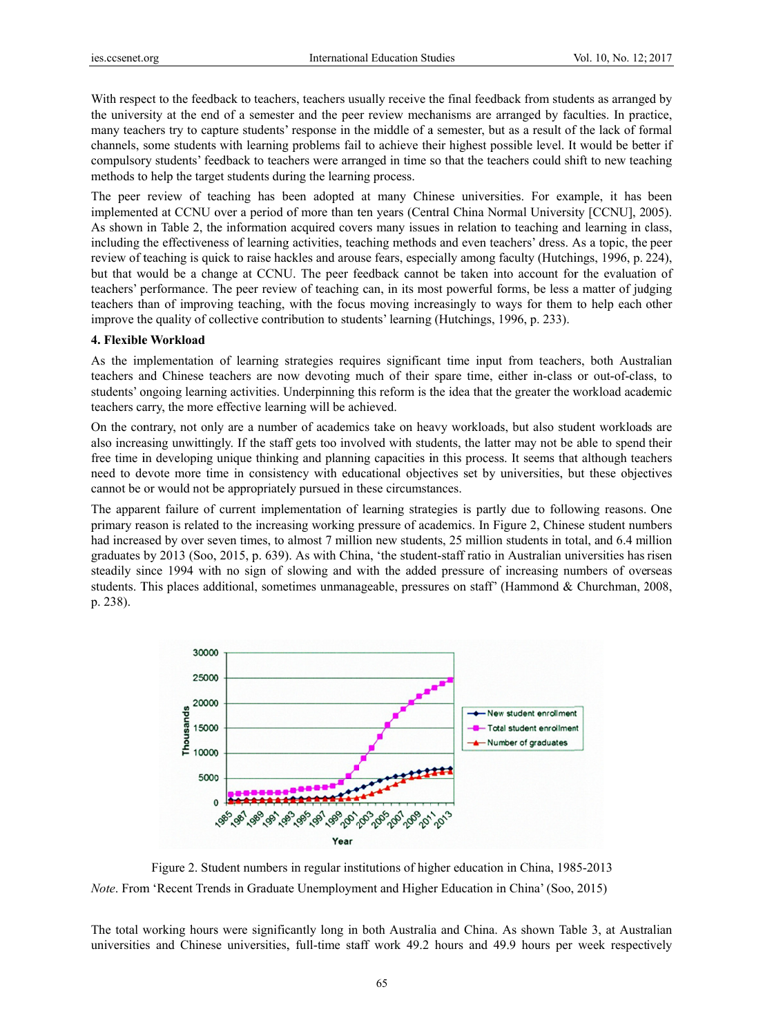With respect to the feedback to teachers, teachers usually receive the final feedback from students as arranged by the university at the end of a semester and the peer review mechanisms are arranged by faculties. In practice, many teachers try to capture students' response in the middle of a semester, but as a result of the lack of formal channels, some students with learning problems fail to achieve their highest possible level. It would be better if compulsory students' feedback to teachers were arranged in time so that the teachers could shift to new teaching methods to help the target students during the learning process.

The peer review of teaching has been adopted at many Chinese universities. For example, it has been implemented at CCNU over a period of more than ten years (Central China Normal University [CCNU], 2005). As shown in Table 2, the information acquired covers many issues in relation to teaching and learning in class, including the effectiveness of learning activities, teaching methods and even teachers' dress. As a topic, the peer review of teaching is quick to raise hackles and arouse fears, especially among faculty (Hutchings, 1996, p. 224). but that would be a change at CCNU. The peer feedback cannot be taken into account for the evaluation of teachers' performance. The peer review of teaching can, in its most powerful forms, be less a matter of judging teachers than of improving teaching, with the focus moving increasingly to ways for them to help each other improve the quality of collective contribution to students' learning (Hutchings, 1996, p. 233).

## 4. Flexible Workload

As the implementation of learning strategies requires significant time input from teachers, both Australian teachers and Chinese teachers are now devoting much of their spare time, either in-class or out-of-class, to students' ongoing learning activities. Underpinning this reform is the idea that the greater the workload academic teachers carry, the more effective learning will be achieved.

On the contrary, not only are a number of academics take on heavy workloads, but also student workloads are also increasing unwittingly. If the staff gets too involved with students, the latter may not be able to spend their free time in developing unique thinking and planning capacities in this process. It seems that although teachers need to devote more time in consistency with educational objectives set by universities, but these objectives cannot be or would not be appropriately pursued in these circumstances.

The apparent failure of current implementation of learning strategies is partly due to following reasons. One primary reason is related to the increasing working pressure of academics. In Figure 2, Chinese student numbers had increased by over seven times, to almost 7 million new students, 25 million students in total, and 6.4 million graduates by 2013 (Soo, 2015, p. 639). As with China, 'the student-staff ratio in Australian universities has risen steadily since 1994 with no sign of slowing and with the added pressure of increasing numbers of overseas students. This places additional, sometimes unmanageable, pressures on staff' (Hammond & Churchman, 2008, p. 238).



Figure 2. Student numbers in regular institutions of higher education in China, 1985-2013 Note. From 'Recent Trends in Graduate Unemployment and Higher Education in China' (Soo, 2015)

The total working hours were significantly long in both Australia and China. As shown Table 3, at Australian universities and Chinese universities, full-time staff work 49.2 hours and 49.9 hours per week respectively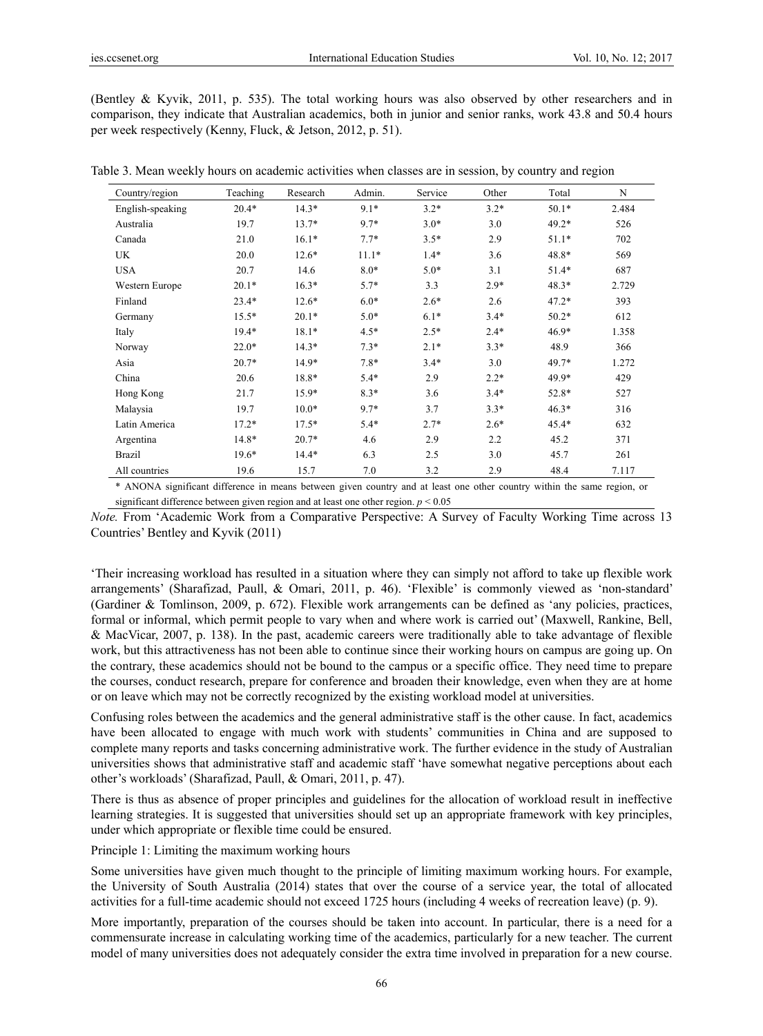(Bentley & Kyvik, 2011, p. 535). The total working hours was also observed by other researchers and in comparison, they indicate that Australian academics, both in junior and senior ranks, work 43.8 and 50.4 hours per week respectively (Kenny, Fluck, & Jetson, 2012, p. 51).

| Country/region   | Teaching | Research | Admin.  | Service | Other  | Total   | N     |
|------------------|----------|----------|---------|---------|--------|---------|-------|
| English-speaking | $20.4*$  | $14.3*$  | $9.1*$  | $3.2*$  | $3.2*$ | $50.1*$ | 2.484 |
| Australia        | 19.7     | $13.7*$  | $9.7*$  | $3.0*$  | 3.0    | $49.2*$ | 526   |
| Canada           | 21.0     | $16.1*$  | $7.7*$  | $3.5*$  | 2.9    | $51.1*$ | 702   |
| UK               | 20.0     | $12.6*$  | $11.1*$ | $1.4*$  | 3.6    | 48.8*   | 569   |
| <b>USA</b>       | 20.7     | 14.6     | $8.0*$  | $5.0*$  | 3.1    | $51.4*$ | 687   |
| Western Europe   | $20.1*$  | $16.3*$  | $5.7*$  | 3.3     | $2.9*$ | $48.3*$ | 2.729 |
| Finland          | $23.4*$  | $12.6*$  | $6.0*$  | $2.6*$  | 2.6    | $47.2*$ | 393   |
| Germany          | $15.5*$  | $20.1*$  | $5.0*$  | $6.1*$  | $3.4*$ | $50.2*$ | 612   |
| Italy            | $19.4*$  | $18.1*$  | $4.5*$  | $2.5*$  | $2.4*$ | $46.9*$ | 1.358 |
| Norway           | $22.0*$  | $14.3*$  | $7.3*$  | $2.1*$  | $3.3*$ | 48.9    | 366   |
| Asia             | $20.7*$  | 14.9*    | $7.8*$  | $3.4*$  | 3.0    | 49.7*   | 1.272 |
| China            | 20.6     | 18.8*    | $5.4*$  | 2.9     | $2.2*$ | 49.9*   | 429   |
| Hong Kong        | 21.7     | $15.9*$  | $8.3*$  | 3.6     | $3.4*$ | 52.8*   | 527   |
| Malaysia         | 19.7     | $10.0*$  | $9.7*$  | 3.7     | $3.3*$ | $46.3*$ | 316   |
| Latin America    | $17.2*$  | $17.5*$  | $5.4*$  | $2.7*$  | $2.6*$ | $45.4*$ | 632   |
| Argentina        | 14.8*    | $20.7*$  | 4.6     | 2.9     | 2.2    | 45.2    | 371   |
| Brazil           | 19.6*    | $14.4*$  | 6.3     | 2.5     | 3.0    | 45.7    | 261   |
| All countries    | 19.6     | 15.7     | 7.0     | 3.2     | 2.9    | 48.4    | 7.117 |

Table 3. Mean weekly hours on academic activities when classes are in session, by country and region

\* ANONA significant difference in means between given country and at least one other country within the same region, or significant difference between given region and at least one other region. *p* < 0.05

*Note.* From 'Academic Work from a Comparative Perspective: A Survey of Faculty Working Time across 13 Countries' Bentley and Kyvik (2011)

'Their increasing workload has resulted in a situation where they can simply not afford to take up flexible work arrangements' (Sharafizad, Paull, & Omari, 2011, p. 46). 'Flexible' is commonly viewed as 'non-standard' (Gardiner & Tomlinson, 2009, p. 672). Flexible work arrangements can be defined as 'any policies, practices, formal or informal, which permit people to vary when and where work is carried out' (Maxwell, Rankine, Bell, & MacVicar, 2007, p. 138). In the past, academic careers were traditionally able to take advantage of flexible work, but this attractiveness has not been able to continue since their working hours on campus are going up. On the contrary, these academics should not be bound to the campus or a specific office. They need time to prepare the courses, conduct research, prepare for conference and broaden their knowledge, even when they are at home or on leave which may not be correctly recognized by the existing workload model at universities.

Confusing roles between the academics and the general administrative staff is the other cause. In fact, academics have been allocated to engage with much work with students' communities in China and are supposed to complete many reports and tasks concerning administrative work. The further evidence in the study of Australian universities shows that administrative staff and academic staff 'have somewhat negative perceptions about each other's workloads' (Sharafizad, Paull, & Omari, 2011, p. 47).

There is thus as absence of proper principles and guidelines for the allocation of workload result in ineffective learning strategies. It is suggested that universities should set up an appropriate framework with key principles, under which appropriate or flexible time could be ensured.

Principle 1: Limiting the maximum working hours

Some universities have given much thought to the principle of limiting maximum working hours. For example, the University of South Australia (2014) states that over the course of a service year, the total of allocated activities for a full-time academic should not exceed 1725 hours (including 4 weeks of recreation leave) (p. 9).

More importantly, preparation of the courses should be taken into account. In particular, there is a need for a commensurate increase in calculating working time of the academics, particularly for a new teacher. The current model of many universities does not adequately consider the extra time involved in preparation for a new course.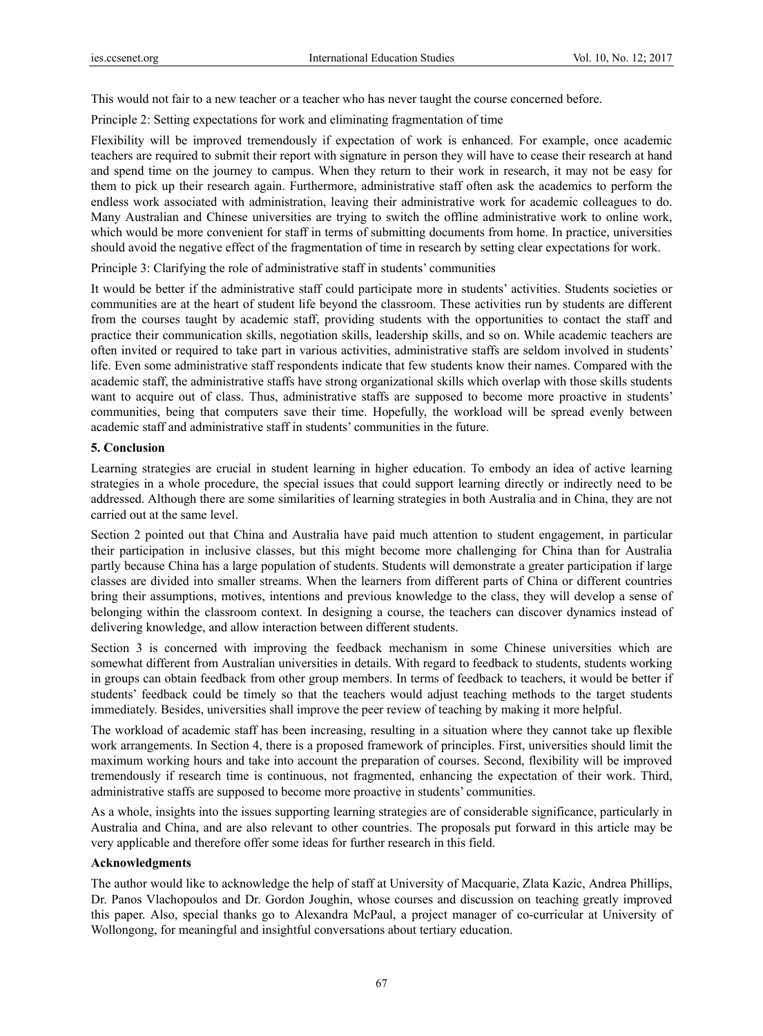This would not fair to a new teacher or a teacher who has never taught the course concerned before.

Principle 2: Setting expectations for work and eliminating fragmentation of time

Flexibility will be improved tremendously if expectation of work is enhanced. For example, once academic teachers are required to submit their report with signature in person they will have to cease their research at hand and spend time on the journey to campus. When they return to their work in research, it may not be easy for them to pick up their research again. Furthermore, administrative staff often ask the academics to perform the endless work associated with administration, leaving their administrative work for academic colleagues to do. Many Australian and Chinese universities are trying to switch the offline administrative work to online work, which would be more convenient for staff in terms of submitting documents from home. In practice, universities should avoid the negative effect of the fragmentation of time in research by setting clear expectations for work.

Principle 3: Clarifying the role of administrative staff in students' communities

It would be better if the administrative staff could participate more in students' activities. Students societies or communities are at the heart of student life beyond the classroom. These activities run by students are different from the courses taught by academic staff, providing students with the opportunities to contact the staff and practice their communication skills, negotiation skills, leadership skills, and so on. While academic teachers are often invited or required to take part in various activities, administrative staffs are seldom involved in students' life. Even some administrative staff respondents indicate that few students know their names. Compared with the academic staff, the administrative staffs have strong organizational skills which overlap with those skills students want to acquire out of class. Thus, administrative staffs are supposed to become more proactive in students' communities, being that computers save their time. Hopefully, the workload will be spread evenly between academic staff and administrative staff in students' communities in the future.

## **5. Conclusion**

Learning strategies are crucial in student learning in higher education. To embody an idea of active learning strategies in a whole procedure, the special issues that could support learning directly or indirectly need to be addressed. Although there are some similarities of learning strategies in both Australia and in China, they are not carried out at the same level.

Section 2 pointed out that China and Australia have paid much attention to student engagement, in particular their participation in inclusive classes, but this might become more challenging for China than for Australia partly because China has a large population of students. Students will demonstrate a greater participation if large classes are divided into smaller streams. When the learners from different parts of China or different countries bring their assumptions, motives, intentions and previous knowledge to the class, they will develop a sense of belonging within the classroom context. In designing a course, the teachers can discover dynamics instead of delivering knowledge, and allow interaction between different students.

Section 3 is concerned with improving the feedback mechanism in some Chinese universities which are somewhat different from Australian universities in details. With regard to feedback to students, students working in groups can obtain feedback from other group members. In terms of feedback to teachers, it would be better if students' feedback could be timely so that the teachers would adjust teaching methods to the target students immediately. Besides, universities shall improve the peer review of teaching by making it more helpful.

The workload of academic staff has been increasing, resulting in a situation where they cannot take up flexible work arrangements. In Section 4, there is a proposed framework of principles. First, universities should limit the maximum working hours and take into account the preparation of courses. Second, flexibility will be improved tremendously if research time is continuous, not fragmented, enhancing the expectation of their work. Third, administrative staffs are supposed to become more proactive in students' communities.

As a whole, insights into the issues supporting learning strategies are of considerable significance, particularly in Australia and China, and are also relevant to other countries. The proposals put forward in this article may be very applicable and therefore offer some ideas for further research in this field.

# **Acknowledgments**

The author would like to acknowledge the help of staff at University of Macquarie, Zlata Kazic, Andrea Phillips, Dr. Panos Vlachopoulos and Dr. Gordon Joughin, whose courses and discussion on teaching greatly improved this paper. Also, special thanks go to Alexandra McPaul, a project manager of co-curricular at University of Wollongong, for meaningful and insightful conversations about tertiary education.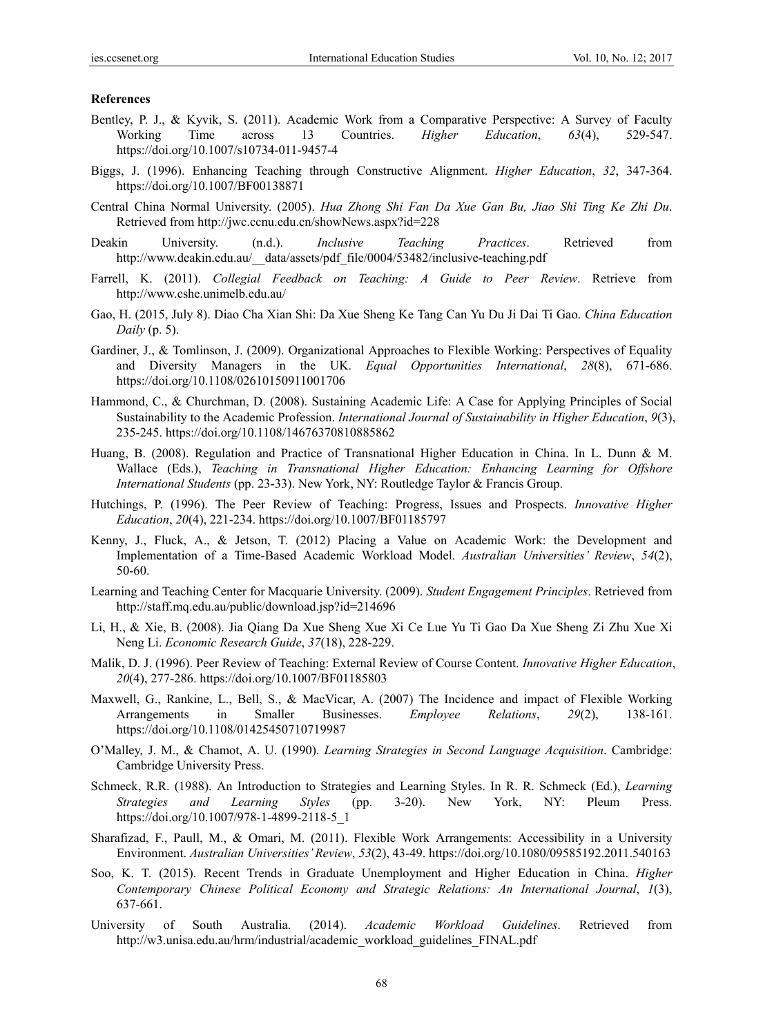#### **References**

- Bentley, P. J., & Kyvik, S. (2011). Academic Work from a Comparative Perspective: A Survey of Faculty Working Time across 13 Countries. *Higher Education*, *63*(4), 529-547. https://doi.org/10.1007/s10734-011-9457-4
- Biggs, J. (1996). Enhancing Teaching through Constructive Alignment. *Higher Education*, *32*, 347-364. https://doi.org/10.1007/BF00138871
- Central China Normal University. (2005). *Hua Zhong Shi Fan Da Xue Gan Bu, Jiao Shi Ting Ke Zhi Du*. Retrieved from http://jwc.ccnu.edu.cn/showNews.aspx?id=228
- Deakin University. (n.d.). *Inclusive Teaching Practices*. Retrieved from http://www.deakin.edu.au/\_\_data/assets/pdf\_file/0004/53482/inclusive-teaching.pdf
- Farrell, K. (2011). *Collegial Feedback on Teaching: A Guide to Peer Review*. Retrieve from http://www.cshe.unimelb.edu.au/
- Gao, H. (2015, July 8). Diao Cha Xian Shi: Da Xue Sheng Ke Tang Can Yu Du Ji Dai Ti Gao. *China Education Daily* (p. 5).
- Gardiner, J., & Tomlinson, J. (2009). Organizational Approaches to Flexible Working: Perspectives of Equality and Diversity Managers in the UK. *Equal Opportunities International*, *28*(8), 671-686. https://doi.org/10.1108/02610150911001706
- Hammond, C., & Churchman, D. (2008). Sustaining Academic Life: A Case for Applying Principles of Social Sustainability to the Academic Profession. *International Journal of Sustainability in Higher Education*, *9*(3), 235-245. https://doi.org/10.1108/14676370810885862
- Huang, B. (2008). Regulation and Practice of Transnational Higher Education in China. In L. Dunn & M. Wallace (Eds.), *Teaching in Transnational Higher Education: Enhancing Learning for Offshore International Students* (pp. 23-33). New York, NY: Routledge Taylor & Francis Group.
- Hutchings, P. (1996). The Peer Review of Teaching: Progress, Issues and Prospects. *Innovative Higher Education*, *20*(4), 221-234. https://doi.org/10.1007/BF01185797
- Kenny, J., Fluck, A., & Jetson, T. (2012) Placing a Value on Academic Work: the Development and Implementation of a Time-Based Academic Workload Model. *Australian Universities' Review*, *54*(2), 50-60.
- Learning and Teaching Center for Macquarie University. (2009). *Student Engagement Principles*. Retrieved from http://staff.mq.edu.au/public/download.jsp?id=214696
- Li, H., & Xie, B. (2008). Jia Qiang Da Xue Sheng Xue Xi Ce Lue Yu Ti Gao Da Xue Sheng Zi Zhu Xue Xi Neng Li. *Economic Research Guide*, *37*(18), 228-229.
- Malik, D. J. (1996). Peer Review of Teaching: External Review of Course Content. *Innovative Higher Education*, *20*(4), 277-286. https://doi.org/10.1007/BF01185803
- Maxwell, G., Rankine, L., Bell, S., & MacVicar, A. (2007) The Incidence and impact of Flexible Working Arrangements in Smaller Businesses. *Employee Relations*, *29*(2), 138-161. https://doi.org/10.1108/01425450710719987
- O'Malley, J. M., & Chamot, A. U. (1990). *Learning Strategies in Second Language Acquisition*. Cambridge: Cambridge University Press.
- Schmeck, R.R. (1988). An Introduction to Strategies and Learning Styles. In R. R. Schmeck (Ed.), *Learning Strategies and Learning Styles* (pp. 3-20). New York, NY: Pleum Press. https://doi.org/10.1007/978-1-4899-2118-5\_1
- Sharafizad, F., Paull, M., & Omari, M. (2011). Flexible Work Arrangements: Accessibility in a University Environment. *Australian Universities' Review*, *53*(2), 43-49. https://doi.org/10.1080/09585192.2011.540163
- Soo, K. T. (2015). Recent Trends in Graduate Unemployment and Higher Education in China. *Higher Contemporary Chinese Political Economy and Strategic Relations: An International Journal*, *1*(3), 637-661.
- University of South Australia. (2014). *Academic Workload Guidelines*. Retrieved from http://w3.unisa.edu.au/hrm/industrial/academic\_workload\_guidelines\_FINAL.pdf